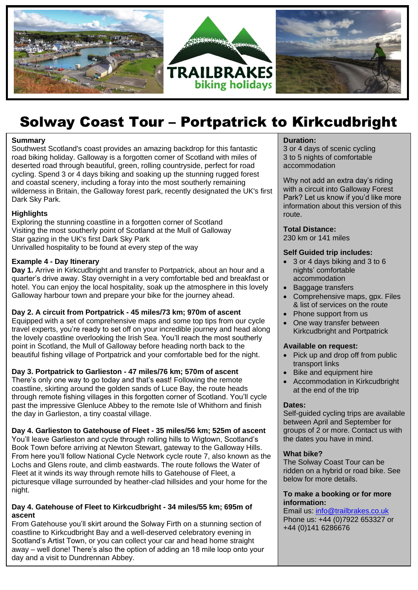

# Solway Coast Tour – Portpatrick to Kirkcudbright

#### **Summary**

Southwest Scotland's coast provides an amazing backdrop for this fantastic road biking holiday. Galloway is a forgotten corner of Scotland with miles of deserted road through beautiful, green, rolling countryside, perfect for road cycling. Spend 3 or 4 days biking and soaking up the stunning rugged forest and coastal scenery, including a foray into the most southerly remaining wilderness in Britain, the Galloway forest park, recently designated the UK's first Dark Sky Park.

## **Highlights**

Exploring the stunning coastline in a forgotten corner of Scotland Visiting the most southerly point of Scotland at the Mull of Galloway Star gazing in the UK's first Dark Sky Park Unrivalled hospitality to be found at every step of the way

## **Example 4 - Day Itinerary**

**Day 1.** Arrive in Kirkcudbright and transfer to Portpatrick, about an hour and a quarter's drive away. Stay overnight in a very comfortable bed and breakfast or hotel. You can enjoy the local hospitality, soak up the atmosphere in this lovely Galloway harbour town and prepare your bike for the journey ahead.

## **Day 2. A circuit from Portpatrick - 45 miles/73 km; 970m of ascent**

Equipped with a set of comprehensive maps and some top tips from our cycle travel experts, you're ready to set off on your incredible journey and head along the lovely coastline overlooking the Irish Sea. You'll reach the most southerly point in Scotland, the Mull of Galloway before heading north back to the beautiful fishing village of Portpatrick and your comfortable bed for the night.

## **Day 3. Portpatrick to Garlieston - 47 miles/76 km; 570m of ascent**

There's only one way to go today and that's east! Following the remote coastline, skirting around the golden sands of Luce Bay, the route heads through remote fishing villages in this forgotten corner of Scotland. You'll cycle past the impressive Glenluce Abbey to the remote Isle of Whithorn and finish the day in Garlieston, a tiny coastal village.

From here you'll follow National Cycle Network cycle route 7, also known as the write Dire<br>Lochs and Glens route, and climb eastwards. The route follows the Water of **Day 4. Garlieston to Gatehouse of Fleet - 35 miles/56 km; 525m of ascent** You'll leave Garlieston and cycle through rolling hills to Wigtown, Scotland's Book Town before arriving at Newton Stewart, gateway to the Galloway Hills. From here you'll follow National Cycle Network cycle route 7, also known as the Fleet at it winds its way through remote hills to Gatehouse of Fleet, a picturesque village surrounded by heather-clad hillsides and your home for the night.

## **Day 4. Gatehouse of Fleet to Kirkcudbright - 34 miles/55 km; 695m of ascent**

From Gatehouse you'll skirt around the Solway Firth on a stunning section of coastline to Kirkcudbright Bay and a well-deserved celebratory evening in Scotland's Artist Town, or you can collect your car and head home straight away – well done! There's also the option of adding an 18 mile loop onto your day and a visit to Dundrennan Abbey.

#### **Duration:**

3 or 4 days of scenic cycling 3 to 5 nights of comfortable accommodation

Why not add an extra day's riding with a circuit into Galloway Forest Park? Let us know if you'd like more information about this version of this route.

# **Total Distance:**

230 km or 141 miles

# **Self Guided trip includes:**

- 3 or 4 days biking and 3 to 6 nights' comfortable accommodation
- Baggage transfers
- Comprehensive maps, gpx. Files & list of services on the route
- Phone support from us
- One way transfer between Kirkcudbright and Portpatrick

#### **Available on request:**

- Pick up and drop off from public transport links
- Bike and equipment hire
- Accommodation in Kirkcudbright at the end of the trip

#### **Dates:**

Self-guided cycling trips are available between April and September for groups of 2 or more. Contact us with the dates you have in mind.

## **What bike?**

The Solway Coast Tour can be ridden on a hybrid or road bike. See below for more details.

#### **To make a booking or for more information:**

Email us: [info@trailbrakes.co.uk](mailto:info@trailbrakes.co.uk)  Phone us: +44 (0)7922 653327 or +44 (0)141 6286676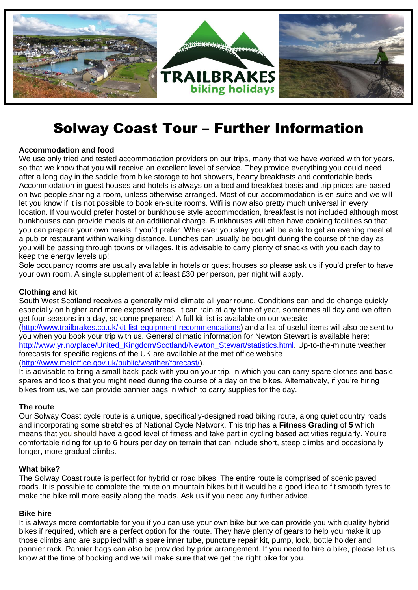

# Solway Coast Tour – Further Information

# **Accommodation and food**

We use only tried and tested accommodation providers on our trips, many that we have worked with for years, so that we know that you will receive an excellent level of service. They provide everything you could need after a long day in the saddle from bike storage to hot showers, hearty breakfasts and comfortable beds. Accommodation in guest houses and hotels is always on a bed and breakfast basis and trip prices are based on two people sharing a room, unless otherwise arranged. Most of our accommodation is en-suite and we will let you know if it is not possible to book en-suite rooms. Wifi is now also pretty much universal in every location. If you would prefer hostel or bunkhouse style accommodation, breakfast is not included although most bunkhouses can provide meals at an additional charge. Bunkhouses will often have cooking facilities so that you can prepare your own meals if you'd prefer. Wherever you stay you will be able to get an evening meal at a pub or restaurant within walking distance. Lunches can usually be bought during the course of the day as you will be passing through towns or villages. It is advisable to carry plenty of snacks with you each day to keep the energy levels up!

Sole occupancy rooms are usually available in hotels or quest houses so please ask us if you'd prefer to have your own room. A single supplement of at least £30 per person, per night will apply.

# **Clothing and kit**

South West Scotland receives a generally mild climate all year round. Conditions can and do change quickly especially on higher and more exposed areas. It can rain at any time of year, sometimes all day and we often get four seasons in a day, so come prepared! A full kit list is available on our website [\(http://www.trailbrakes.co.uk/kit-list-equipment-recommendations\)](http://www.trailbrakes.co.uk/kit-list-equipment-recommendations) and a list of useful items will also be sent to you when you book your trip with us. General climatic information for Newton Stewart is available here: http://www.yr.no/place/United Kingdom/Scotland/Newton Stewart/statistics.html. Up-to-the-minute weather forecasts for specific regions of the UK are available at the met office website [\(http://www.metoffice.gov.uk/public/weather/forecast/\)](http://www.metoffice.gov.uk/public/weather/forecast/).

It is advisable to bring a small back-pack with you on your trip, in which you can carry spare clothes and basic spares and tools that you might need during the course of a day on the bikes. Alternatively, if you're hiring bikes from us, we can provide pannier bags in which to carry supplies for the day.

## **The route**

Our Solway Coast cycle route is a unique, specifically-designed road biking route, along quiet country roads and incorporating some stretches of National Cycle Network. This trip has a **Fitness Grading** of **5** which means that you should have a good level of fitness and take part in cycling based activities regularly. You're comfortable riding for up to 6 hours per day on terrain that can include short, steep climbs and occasionally longer, more gradual climbs.

## **What bike?**

The Solway Coast route is perfect for hybrid or road bikes. The entire route is comprised of scenic paved roads. It is possible to complete the route on mountain bikes but it would be a good idea to fit smooth tyres to make the bike roll more easily along the roads. Ask us if you need any further advice.

## **Bike hire**

It is always more comfortable for you if you can use your own bike but we can provide you with quality hybrid bikes if required, which are a perfect option for the route. They have plenty of gears to help you make it up those climbs and are supplied with a spare inner tube, puncture repair kit, pump, lock, bottle holder and pannier rack. Pannier bags can also be provided by prior arrangement. If you need to hire a bike, please let us know at the time of booking and we will make sure that we get the right bike for you.